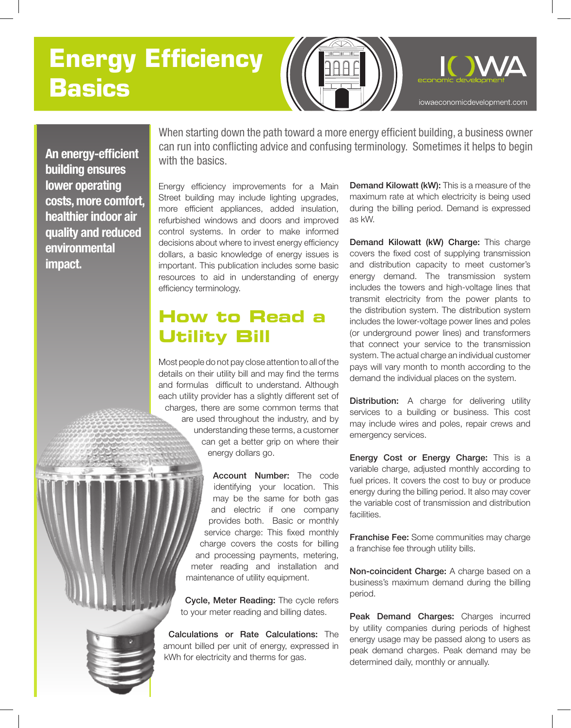# **Energy Efficiency Basics**



**An energy-efficient building ensures lower operating costs, more comfort, healthier indoor air quality and reduced environmental impact.**

When starting down the path toward a more energy efficient building, a business owner can run into conflicting advice and confusing terminology. Sometimes it helps to begin with the basics.

Energy efficiency improvements for a Main Street building may include lighting upgrades, more efficient appliances, added insulation, refurbished windows and doors and improved control systems. In order to make informed decisions about where to invest energy efficiency dollars, a basic knowledge of energy issues is important. This publication includes some basic resources to aid in understanding of energy efficiency terminology.

### **How to Read a Utility Bill**

Most people do not pay close attention to all of the details on their utility bill and may find the terms and formulas difficult to understand. Although each utility provider has a slightly different set of charges, there are some common terms that are used throughout the industry, and by understanding these terms, a customer can get a better grip on where their energy dollars go.

> Account Number: The code identifying your location. This may be the same for both gas and electric if one company provides both. Basic or monthly service charge: This fixed monthly charge covers the costs for billing and processing payments, metering, meter reading and installation and maintenance of utility equipment.

Cycle, Meter Reading: The cycle refers to your meter reading and billing dates.

Calculations or Rate Calculations: The amount billed per unit of energy, expressed in kWh for electricity and therms for gas.

Demand Kilowatt (kW): This is a measure of the maximum rate at which electricity is being used during the billing period. Demand is expressed as kW.

Demand Kilowatt (kW) Charge: This charge covers the fixed cost of supplying transmission and distribution capacity to meet customer's energy demand. The transmission system includes the towers and high-voltage lines that transmit electricity from the power plants to the distribution system. The distribution system includes the lower-voltage power lines and poles (or underground power lines) and transformers that connect your service to the transmission system. The actual charge an individual customer pays will vary month to month according to the demand the individual places on the system.

Distribution: A charge for delivering utility services to a building or business. This cost may include wires and poles, repair crews and emergency services.

Energy Cost or Energy Charge: This is a variable charge, adjusted monthly according to fuel prices. It covers the cost to buy or produce energy during the billing period. It also may cover the variable cost of transmission and distribution facilities.

Franchise Fee: Some communities may charge a franchise fee through utility bills.

Non-coincident Charge: A charge based on a business's maximum demand during the billing period.

Peak Demand Charges: Charges incurred by utility companies during periods of highest energy usage may be passed along to users as peak demand charges. Peak demand may be determined daily, monthly or annually.

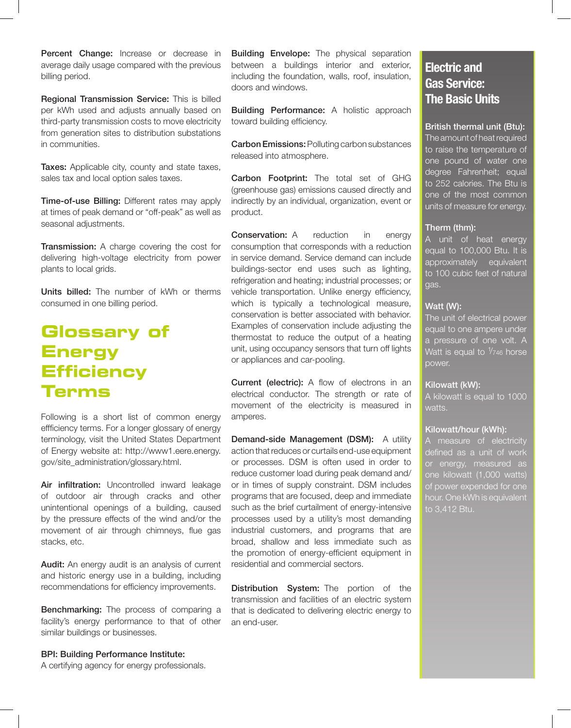Percent Change: Increase or decrease in average daily usage compared with the previous billing period.

Regional Transmission Service: This is billed per kWh used and adjusts annually based on third-party transmission costs to move electricity from generation sites to distribution substations in communities.

**Taxes:** Applicable city, county and state taxes, sales tax and local option sales taxes.

Time-of-use Billing: Different rates may apply at times of peak demand or "off-peak" as well as seasonal adjustments.

Transmission: A charge covering the cost for delivering high-voltage electricity from power plants to local grids.

Units billed: The number of kWh or therms consumed in one billing period.

## **Glossary of Energy Efficiency Terms**

Following is a short list of common energy effficiency terms. For a longer glossary of energy terminology, visit the United States Department of Energy website at: http://www1.eere.energy. gov/site\_administration/glossary.html.

Air infiltration: Uncontrolled inward leakage of outdoor air through cracks and other unintentional openings of a building, caused by the pressure effects of the wind and/or the movement of air through chimneys, flue gas stacks, etc.

Audit: An energy audit is an analysis of current and historic energy use in a building, including recommendations for efficiency improvements.

Benchmarking: The process of comparing a facility's energy performance to that of other similar buildings or businesses.

BPI: Building Performance Institute:

A certifying agency for energy professionals.

**Building Envelope:** The physical separation between a buildings interior and exterior, including the foundation, walls, roof, insulation, doors and windows.

Building Performance: A holistic approach toward building efficiency.

Carbon Emissions: Polluting carbon substances released into atmosphere.

Carbon Footprint: The total set of GHG (greenhouse gas) emissions caused directly and indirectly by an individual, organization, event or product.

**Conservation:** A reduction in energy consumption that corresponds with a reduction in service demand. Service demand can include buildings-sector end uses such as lighting, refrigeration and heating; industrial processes; or vehicle transportation. Unlike energy efficiency, which is typically a technological measure, conservation is better associated with behavior. Examples of conservation include adjusting the thermostat to reduce the output of a heating unit, using occupancy sensors that turn off lights or appliances and car-pooling.

Current (electric): A flow of electrons in an electrical conductor. The strength or rate of movement of the electricity is measured in amperes.

Demand-side Management (DSM): A utility action that reduces or curtails end-use equipment or processes. DSM is often used in order to reduce customer load during peak demand and/ or in times of supply constraint. DSM includes programs that are focused, deep and immediate such as the brief curtailment of energy-intensive processes used by a utility's most demanding industrial customers, and programs that are broad, shallow and less immediate such as the promotion of energy-efficient equipment in residential and commercial sectors.

Distribution System: The portion of the transmission and facilities of an electric system that is dedicated to delivering electric energy to an end-user.

### **Electric and Gas Service: The Basic Units**

#### British thermal unit (Btu):

The amount of heat required to raise the temperature of one pound of water one degree Fahrenheit; equal to 252 calories. The Btu is one of the most common units of measure for energy.

#### Therm (thm):

A unit of heat energy equal to 100,000 Btu. It is approximately equivalent to 100 cubic feet of natural gas.

#### Watt (W):

The unit of electrical power equal to one ampere under a pressure of one volt. A Watt is equal to  $\frac{1}{2}$ 46 horse power.

#### Kilowatt (kW):

A kilowatt is equal to 1000 watts.

#### Kilowatt/hour (kWh):

A measure of electricity defined as a unit of work or energy, measured as one kilowatt (1,000 watts) of power expended for one hour. One kWh is equivalent to 3,412 Btu.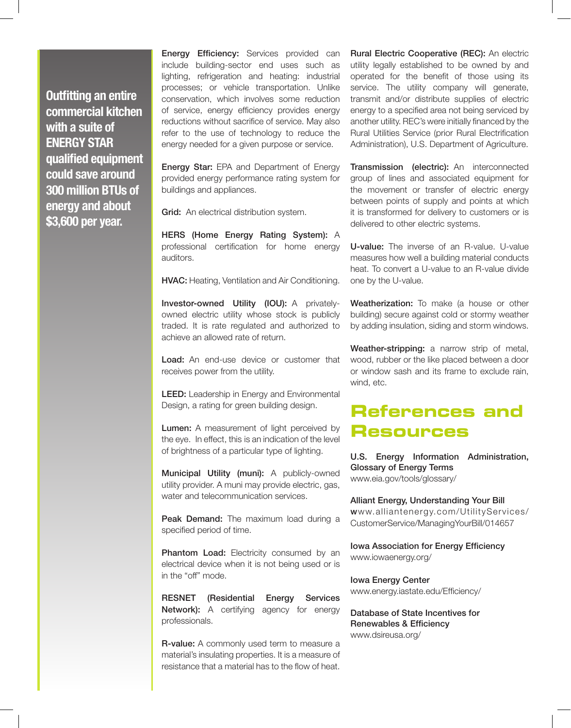**Outfitting an entire commercial kitchen with a suite of ENERGY STAR qualified equipment could save around 300 million BTUs of energy and about \$3,600 per year.** 

**Energy Efficiency:** Services provided can include building-sector end uses such as lighting, refrigeration and heating: industrial processes; or vehicle transportation. Unlike conservation, which involves some reduction of service, energy efficiency provides energy reductions without sacrifice of service. May also refer to the use of technology to reduce the energy needed for a given purpose or service.

**Energy Star:** EPA and Department of Energy provided energy performance rating system for buildings and appliances.

Grid: An electrical distribution system.

HERS (Home Energy Rating System): A professional certification for home energy auditors.

HVAC: Heating, Ventilation and Air Conditioning.

Investor-owned Utility (IOU): A privatelyowned electric utility whose stock is publicly traded. It is rate regulated and authorized to achieve an allowed rate of return.

Load: An end-use device or customer that receives power from the utility.

**LEED:** Leadership in Energy and Environmental Design, a rating for green building design.

Lumen: A measurement of light perceived by the eye. In effect, this is an indication of the level of brightness of a particular type of lighting.

Municipal Utility (muni): A publicly-owned utility provider. A muni may provide electric, gas, water and telecommunication services.

Peak Demand: The maximum load during a specified period of time.

Phantom Load: Electricity consumed by an electrical device when it is not being used or is in the "off" mode.

RESNET (Residential Energy Services Network): A certifying agency for energy professionals.

R-value: A commonly used term to measure a material's insulating properties. It is a measure of resistance that a material has to the flow of heat. Rural Electric Cooperative (REC): An electric utility legally established to be owned by and operated for the benefit of those using its service. The utility company will generate, transmit and/or distribute supplies of electric energy to a specified area not being serviced by another utility. REC's were initially financed by the Rural Utilities Service (prior Rural Electrification Administration), U.S. Department of Agriculture.

Transmission (electric): An interconnected group of lines and associated equipment for the movement or transfer of electric energy between points of supply and points at which it is transformed for delivery to customers or is delivered to other electric systems.

U-value: The inverse of an R-value. U-value measures how well a building material conducts heat. To convert a U-value to an R-value divide one by the U-value.

Weatherization: To make (a house or other building) secure against cold or stormy weather by adding insulation, siding and storm windows.

Weather-stripping: a narrow strip of metal, wood, rubber or the like placed between a door or window sash and its frame to exclude rain, wind, etc.

### **References and Resources**

U.S. Energy Information Administration, Glossary of Energy Terms www.eia.gov/tools/glossary/

Alliant Energy, Understanding Your Bill www.alliantenergy.com/UtilityServices/ CustomerService/ManagingYourBill/014657

Iowa Association for Energy Efficiency www.iowaenergy.org/

Iowa Energy Center www.energy.iastate.edu/Efficiency/

Database of State Incentives for Renewables & Efficiency www.dsireusa.org/